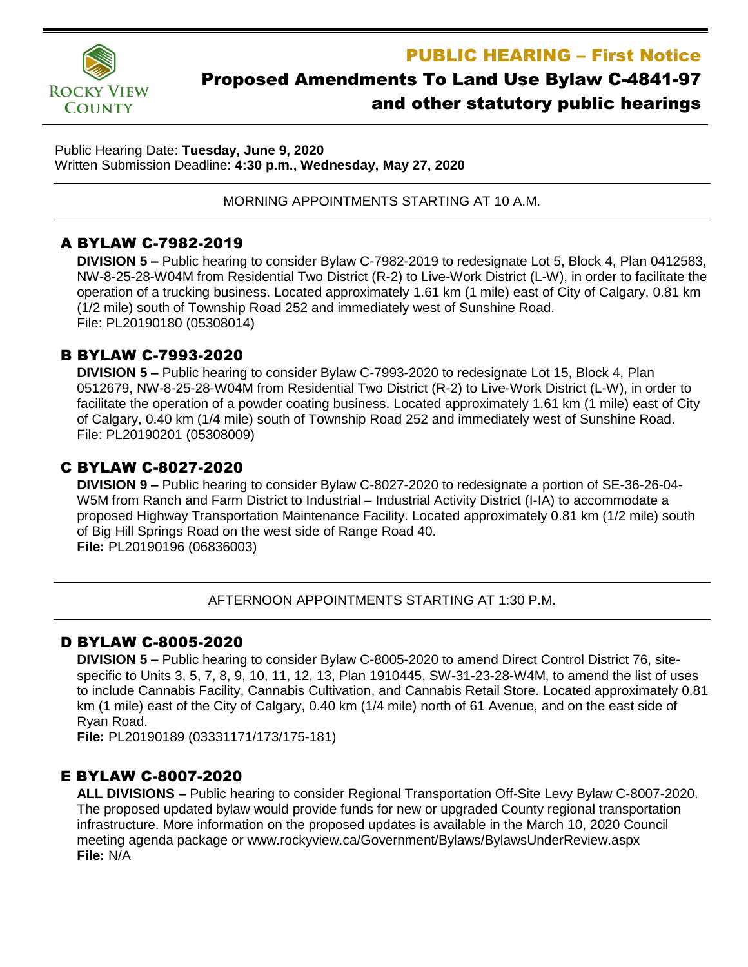

# PUBLIC HEARING – First Notice Proposed Amendments To Land Use Bylaw C-4841-97

and other statutory public hearings

Public Hearing Date: **Tuesday, June 9, 2020** Written Submission Deadline: **4:30 p.m., Wednesday, May 27, 2020**

MORNING APPOINTMENTS STARTING AT 10 A.M.

# A BYLAW C-7982-2019

**DIVISION 5 –** Public hearing to consider Bylaw C-7982-2019 to redesignate Lot 5, Block 4, Plan 0412583, NW-8-25-28-W04M from Residential Two District (R-2) to Live-Work District (L-W), in order to facilitate the operation of a trucking business. Located approximately 1.61 km (1 mile) east of City of Calgary, 0.81 km (1/2 mile) south of Township Road 252 and immediately west of Sunshine Road. File: PL20190180 (05308014)

### B BYLAW C-7993-2020

**DIVISION 5 –** Public hearing to consider Bylaw C-7993-2020 to redesignate Lot 15, Block 4, Plan 0512679, NW-8-25-28-W04M from Residential Two District (R-2) to Live-Work District (L-W), in order to facilitate the operation of a powder coating business. Located approximately 1.61 km (1 mile) east of City of Calgary, 0.40 km (1/4 mile) south of Township Road 252 and immediately west of Sunshine Road. File: PL20190201 (05308009)

### C BYLAW C-8027-2020

**DIVISION 9 –** Public hearing to consider Bylaw C-8027-2020 to redesignate a portion of SE-36-26-04- W5M from Ranch and Farm District to Industrial – Industrial Activity District (I-IA) to accommodate a proposed Highway Transportation Maintenance Facility. Located approximately 0.81 km (1/2 mile) south of Big Hill Springs Road on the west side of Range Road 40. **File:** PL20190196 (06836003)

AFTERNOON APPOINTMENTS STARTING AT 1:30 P.M.

# D BYLAW C-8005-2020

**DIVISION 5 –** Public hearing to consider Bylaw C-8005-2020 to amend Direct Control District 76, sitespecific to Units 3, 5, 7, 8, 9, 10, 11, 12, 13, Plan 1910445, SW-31-23-28-W4M, to amend the list of uses to include Cannabis Facility, Cannabis Cultivation, and Cannabis Retail Store. Located approximately 0.81 km (1 mile) east of the City of Calgary, 0.40 km (1/4 mile) north of 61 Avenue, and on the east side of Ryan Road.

**File:** PL20190189 (03331171/173/175-181)

#### E BYLAW C-8007-2020

**ALL DIVISIONS –** Public hearing to consider Regional Transportation Off-Site Levy Bylaw C-8007-2020. The proposed updated bylaw would provide funds for new or upgraded County regional transportation infrastructure. More information on the proposed updates is available in the March 10, 2020 Council meeting agenda package or www.rockyview.ca/Government/Bylaws/BylawsUnderReview.aspx **File:** N/A